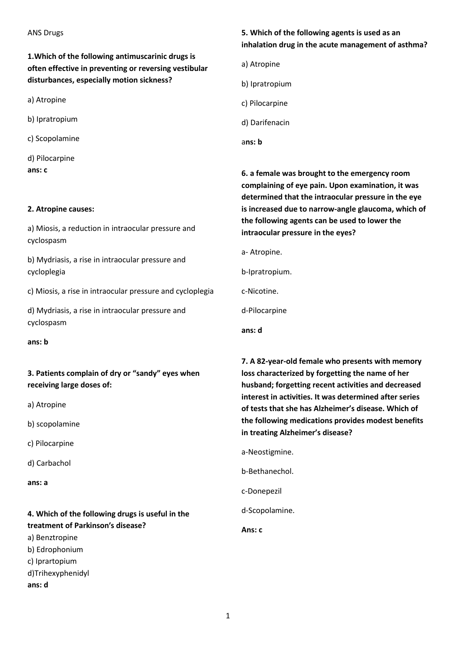**1.Which of the following antimuscarinic drugs is often effective in preventing or reversing vestibular disturbances, especially motion sickness ?**

a) Atropine

b) Ipratropium

c) Scopolamine

d) Pilocarpine **ans: c**

#### **2. Atropine causes:**

a) Miosis, a reduction in intraocular pressure and cyclospasm

b) Mydriasis, a rise in intraocular pressure and cycloplegia

c) Miosis, a rise in intraocular pressure and cycloplegia

d) Mydriasis, a rise in intraocular pressure and cyclospasm

**ans: b**

**3. Patients complain of dry or "sandy" eyes when receiving large doses of:**

a) Atropine

b) scopolamine

c) Pilocarpine

d) Carbachol

**ans: a**

# **4. Which of the following drugs is useful in the treatment of Parkinson′s disease?**

a) Benztropine b) Edrophonium

c) Iprartopium

- d)Trihexyphenidyl
- **ans: d**

### **5. Which of the following agents is used as an inhalation drug in the acute management of asthma?**

a) Atropine

b) Ipratropium

c) Pilocarpine

d) Darifenacin

a**ns: b**

**6. a female was brought to the emergency room complaining of eye pain. Upon examination, it was determined that the intraocular pressure in the eye is increased due to narrow-angle glaucoma, which of the following agents can be used to lower the intraocular pressure in the eyes?**

a- Atropine.

b-Ipratropium.

c-Nicotine.

d-Pilocarpine

**ans: d**

**7. A 82-year-old female who presents with memory loss characterized by forgetting the name of her husband; forgetting recent activities and decreased interest in activities. It was determined after series of tests that she has Alzheimer's disease. Which of the following medications provides modest benefits in treating Alzheimer's disease?**

a-Neostigmine. b-Bethanechol. c-Donepezil

d-Scopolamine.

**Ans: c**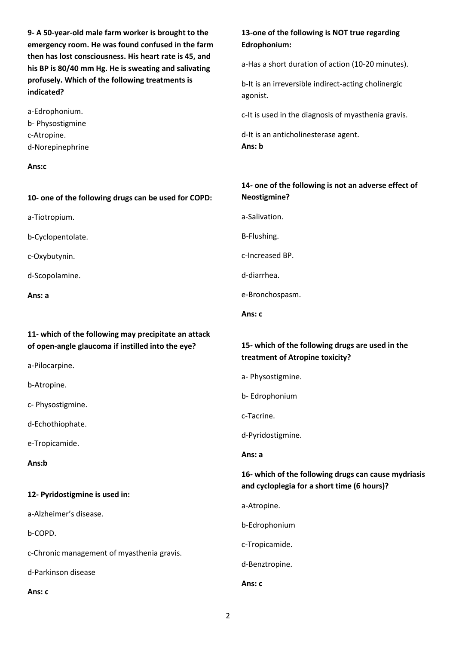**9- A 50-year-old male farm worker is brought to the emergency room. He was found confused in the farm then has lost consciousness. His heart rate is 45, and his BP is 80/40 mm Hg. He is sweating and salivating profusely. Which of the following treatments is indicated?**

a-Edrophonium. b- Physostigmine c-Atropine. d-Norepinephrine

#### **Ans:c**

#### **10- one of the following drugs can be used for COPD:**

a-Tiotropium.

b-Cyclopentolate.

c-Oxybutynin.

d-Scopolamine.

**Ans: a**

### **11- which of the following may precipitate an attack of open-angle glaucoma if instilled into the eye?**

a-Pilocarpine.

b-Atropine.

c- Physostigmine.

d-Echothiophate.

e-Tropicamide.

**Ans:b**

#### **12- Pyridostigmine is used in:**

a-Alzheimer's disease.

b-COPD.

c-Chronic management of myasthenia gravis.

d-Parkinson disease

**Ans: c**

### **13-one of the following is NOT true regarding Edrophonium:**

a-Has a short duration of action (10-20 minutes).

b-It is an irreversible indirect-acting cholinergic agonist.

c-It is used in the diagnosis of myasthenia gravis.

d-It is an anticholinesterase agent. **Ans: b**

### **14- one of the following is not an adverse effect of Neostigmine?**

a-Salivation.

B-Flushing.

c-Increased BP.

d-diarrhea.

e-Bronchospasm.

**Ans: c**

### **15- which of the following drugs are used in the treatment of Atropine toxicity?**

a- Physostigmine.

b- Edrophonium

c-Tacrine.

d-Pyridostigmine.

**Ans: a**

### **16- which of the following drugs can cause mydriasis and cycloplegia for a short time (6 hours)?**

a-Atropine.

b-Edrophonium

c-Tropicamide.

d-Benztropine.

**Ans: c**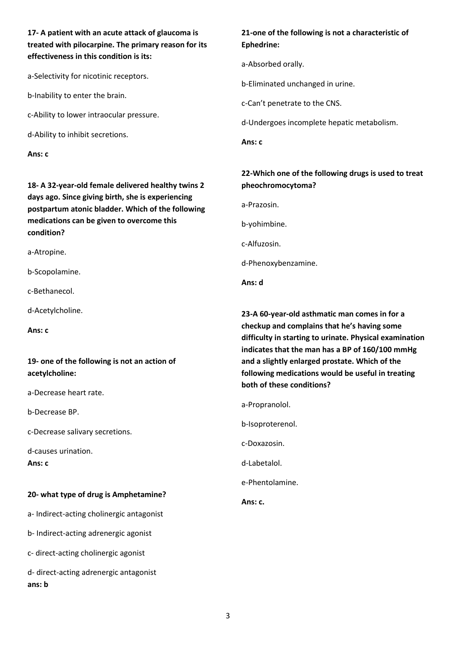**17- A patient with an acute attack of glaucoma is treated with pilocarpine. The primary reason for its effectiveness in this condition is its:**

a-Selectivity for nicotinic receptors.

b-Inability to enter the brain.

c-Ability to lower intraocular pressure.

d-Ability to inhibit secretions.

**Ans: c**

**18- A 32-year-old female delivered healthy twins 2 days ago. Since giving birth, she is experiencing postpartum atonic bladder. Which of the following medications can be given to overcome this condition?**

a-Atropine.

b-Scopolamine.

c-Bethanecol.

d-Acetylcholine.

**Ans: c**

### **19- one of the following is not an action of acetylcholine:**

a-Decrease heart rate.

b-Decrease BP.

c-Decrease salivary secretions.

d-causes urination.

**Ans: c**

#### **20- what type of drug is Amphetamine?**

a- Indirect-acting cholinergic antagonist

b- Indirect-acting adrenergic agonist

c- direct-acting cholinergic agonist

d- direct-acting adrenergic antagonist **ans: b**

### **21-one of the following is not a characteristic of Ephedrine:**

a-Absorbed orally.

b-Eliminated unchanged in urine.

c-Can't penetrate to the CNS.

d-Undergoes incomplete hepatic metabolism.

**Ans: c**

### **22-Which one of the following drugs is used to treat pheochromocytoma?**

a-Prazosin.

b-yohimbine.

c-Alfuzosin.

d-Phenoxybenzamine.

**Ans: d**

**23-A 60-year-old asthmatic man comes in for a checkup and complains that he's having some difficulty in starting to urinate. Physical examination indicates that the man has a BP of 160/100 mmHg and a slightly enlarged prostate. Which of the following medications would be useful in treating both of these conditions?**

a-Propranolol.

b-Isoproterenol.

c-Doxazosin.

d-Labetalol.

e-Phentolamine.

**Ans: c.**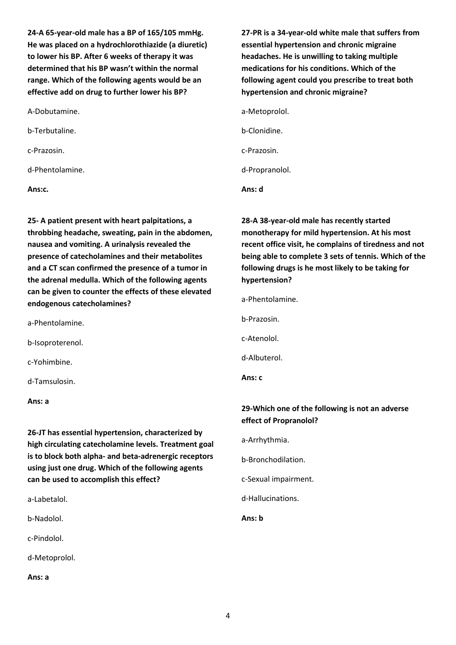**24-A 65-year-old male has a BP of 165/105 mmHg. He was placed on a hydrochlorothiazide (a diuretic) to lower his BP. After 6 weeks of therapy it was determined that his BP wasn't within the normal range. Which of the following agents would be an effective add on drug to further lower his BP?**

A-Dobutamine.

b-Terbutaline.

c-Prazosin.

d-Phentolamine.

**Ans:c.**

**25- A patient present with heart palpitations, a throbbing headache, sweating, pain in the abdomen, nausea and vomiting. A urinalysis revealed the presence of catecholamines and their metabolites and a CT scan confirmed the presence of a tumor in the adrenal medulla. Which of the following agents can be given to counter the effects of these elevated endogenous catecholamines?**

a-Phentolamine.

b-Isoproterenol.

c-Yohimbine.

d-Tamsulosin.

**Ans: a**

**26-JT has essential hypertension, characterized by high circulating catecholamine levels. Treatment goal is to block both alpha- and beta-adrenergic receptors using just one drug. Which of the following agents can be used to accomplish this effect?**

a-Labetalol.

b-Nadolol.

c-Pindolol.

d-Metoprolol.

**Ans: a**

**27-PR is a 34-year-old white male that suffers from essential hypertension and chronic migraine headaches. He is unwilling to taking multiple medications for his conditions. Which of the following agent could you prescribe to treat both hypertension and chronic migraine?**

a-Metoprolol.

b-Clonidine.

c-Prazosin.

d-Propranolol.

**Ans: d**

**28-A 38-year-old male has recently started monotherapy for mild hypertension. At his most recent office visit, he complains of tiredness and not being able to complete 3 sets of tennis. Which of the following drugs is he most likely to be taking for hypertension?**

a-Phentolamine.

b-Prazosin.

c-Atenolol.

d-Albuterol.

**Ans: c**

### **29-Which one of the following is not an adverse effect of Propranolol?**

a-Arrhythmia.

b-Bronchodilation.

c-Sexual impairment.

d-Hallucinations.

**Ans: b**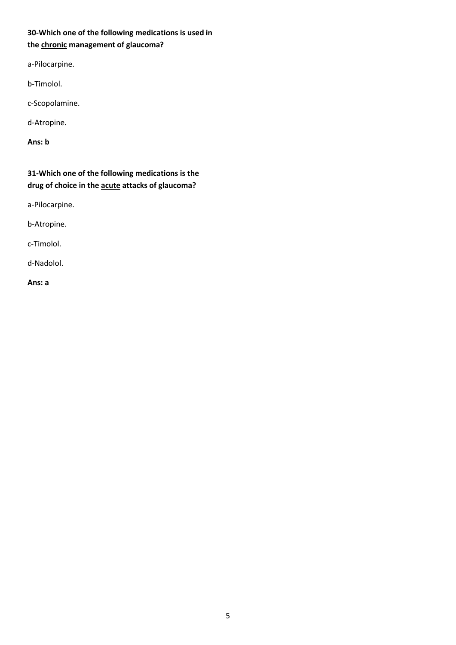## **30-Which one of the following medications is used in the chronic management of glaucoma?**

a-Pilocarpine.

b-Timolol.

c-Scopolamine.

d-Atropine.

**Ans: b**

**31-Which one of the following medications is the drug of choice in the acute attacks of glaucoma?**

a-Pilocarpine.

b-Atropine.

c-Timolol.

d-Nadolol.

**Ans: a**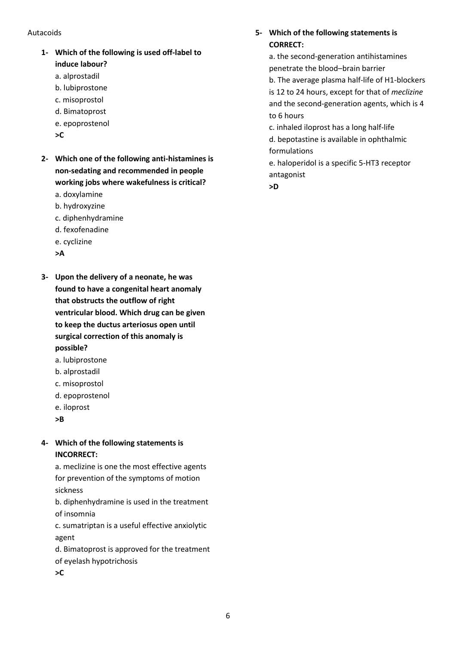#### Autacoids

- **1- Which of the following is used off-label to induce labour?**
	- a. alprostadil
	- b. lubiprostone c. misoprostol
	- d. Bimatoprost
	- e. epoprostenol
	- **>C**
- **2- Which one of the following anti-histamines is non-sedating and recommended in people working jobs where wakefulness is critical?**
	- a. doxylamine
	- b. hydroxyzine
	- c. diphenhydramine
	- d. fexofenadine
	- e. cyclizine
	- **>A**
- **3- Upon the delivery of a neonate, he was found to have a congenital heart anomaly that obstructs the outflow of right ventricular blood. Which drug can be given to keep the ductus arteriosus open until surgical correction of this anomaly is possible?**
	- a. lubiprostone
	- b. alprostadil
	- c. misoprostol
	- d. epoprostenol
	- e. iloprost
	- **>B**

### **4- Which of the following statements is INCORRECT:**

a. meclizine is one the most effective agents for prevention of the symptoms of motion sickness

b. diphenhydramine is used in the treatment of insomnia

c. sumatriptan is a useful effective anxiolytic agent

d. Bimatoprost is approved for the treatment

- of eyelash hypotrichosis
- **>C**

# **5- Which of the following statements is CORRECT:**

a. the second-generation antihistamines penetrate the blood–brain barrier b. The average plasma half-life of H1-blockers is 12 to 24 hours, except for that of *meclizine*  and the second-generation agents, which is 4 to 6 hours

c. inhaled iloprost has a long half-life

d. bepotastine is available in ophthalmic formulations

e. haloperidol is a specific 5-HT3 receptor antagonist

**>D**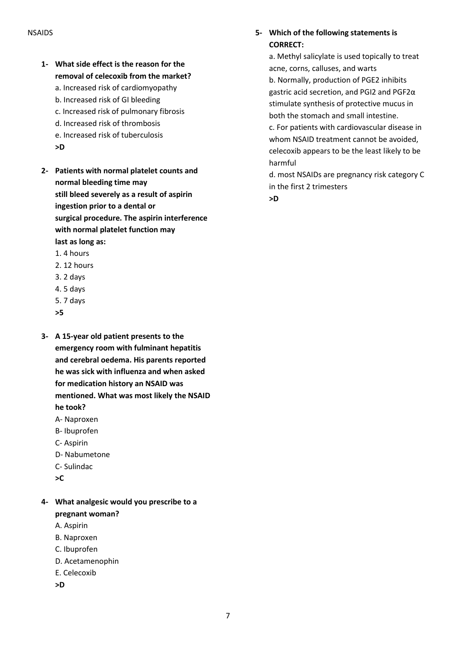- **1- What side effect is the reason for the removal of celecoxib from the market?**
	- a. Increased risk of cardiomyopathy
	- b. Increased risk of GI bleeding
	- c. Increased risk of pulmonary fibrosis
	- d. Increased risk of thrombosis
	- e. Increased risk of tuberculosis
	- **>D**
- **2- Patients with normal platelet counts and normal bleeding time may still bleed severely as a result of aspirin ingestion prior to a dental or surgical procedure. The aspirin interference with normal platelet function may last as long as:** 1. 4 hours
	- 2. 12 hours
	- 3. 2 days
	- 4. 5 days
	- 5. 7 days
	- **>5**
- **3- A 15-year old patient presents to the emergency room with fulminant hepatitis and cerebral oedema. His parents reported he was sick with influenza and when asked for medication history an NSAID was mentioned. What was most likely the NSAID he took?**
	- A- Naproxen
	- B- Ibuprofen
	- C- Aspirin
	- D- Nabumetone
	- C- Sulindac
	- **>C**
- **4- What analgesic would you prescribe to a pregnant woman?**
	- A. Aspirin
	- B. Naproxen
	- C. Ibuprofen
	- D. Acetamenophin
	- E. Celecoxib
	- **>D**

### **5- Which of the following statements is CORRECT:**

a. Methyl salicylate is used topically to treat acne, corns, calluses, and warts b. Normally, production of PGE2 inhibits gastric acid secretion, and PGI2 and PGF2α stimulate synthesis of protective mucus in both the stomach and small intestine. c. For patients with cardiovascular disease in

whom NSAID treatment cannot be avoided, celecoxib appears to be the least likely to be harmful

d. most NSAIDs are pregnancy risk category C in the first 2 trimesters

**>D**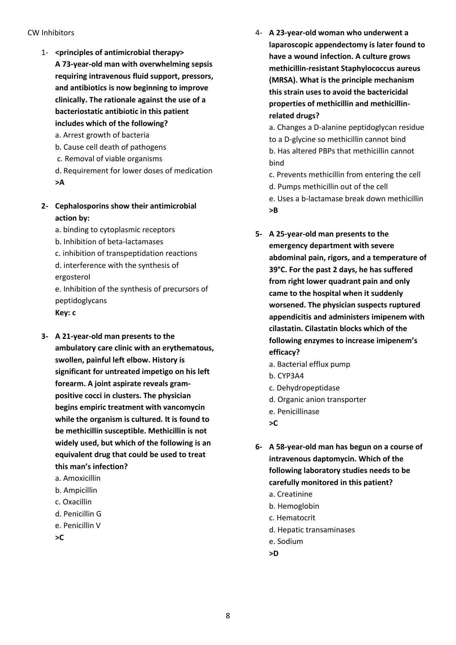#### CW Inhibitors

- 1- **<principles of antimicrobial therapy> A 73-year-old man with overwhelming sepsis requiring intravenous fluid support, pressors, and antibiotics is now beginning to improve clinically. The rationale against the use of a bacteriostatic antibiotic in this patient includes which of the following?**
	- a. Arrest growth of bacteria
	- b. Cause cell death of pathogens
	- c. Removal of viable organisms
	- d. Requirement for lower doses of medication **>A**
- **2- Cephalosporins show their antimicrobial action by:**
	- a. binding to cytoplasmic receptors
	- b. Inhibition of beta-lactamases
	- c. inhibition of transpeptidation reactions
	- d. interference with the synthesis of ergosterol

e. Inhibition of the synthesis of precursors of peptidoglycans

- **Key: c**
- **3- A 21-year-old man presents to the ambulatory care clinic with an erythematous, swollen, painful left elbow. History is significant for untreated impetigo on his left forearm. A joint aspirate reveals grampositive cocci in clusters. The physician begins empiric treatment with vancomycin while the organism is cultured. It is found to be methicillin susceptible. Methicillin is not widely used, but which of the following is an equivalent drug that could be used to treat this man's infection?** 
	- a. Amoxicillin
	- b. Ampicillin
	- c. Oxacillin
	- d. Penicillin G
	- e. Penicillin V

**>C**

- 4- **A 23-year-old woman who underwent a laparoscopic appendectomy is later found to have a wound infection. A culture grows methicillin-resistant Staphylococcus aureus (MRSA). What is the principle mechanism this strain uses to avoid the bactericidal properties of methicillin and methicillinrelated drugs?**
	- a. Changes a D-alanine peptidoglycan residue to a D-glycine so methicillin cannot bind b. Has altered PBPs that methicillin cannot bind
	- c. Prevents methicillin from entering the cell d. Pumps methicillin out of the cell
	- e. Uses a b-lactamase break down methicillin **>B**
- **5- A 25-year-old man presents to the emergency department with severe abdominal pain, rigors, and a temperature of 39°C. For the past 2 days, he has suffered from right lower quadrant pain and only came to the hospital when it suddenly worsened. The physician suspects ruptured appendicitis and administers imipenem with cilastatin. Cilastatin blocks which of the following enzymes to increase imipenem's efficacy?**
	- a. Bacterial efflux pump
	- b. CYP3A4
	- c. Dehydropeptidase
	- d. Organic anion transporter
	- e. Penicillinase
	- **>C**
- **6- A 58-year-old man has begun on a course of intravenous daptomycin. Which of the following laboratory studies needs to be carefully monitored in this patient?**
	- a. Creatinine
	- b. Hemoglobin
	- c. Hematocrit
	- d. Hepatic transaminases
	- e. Sodium
	- **>D**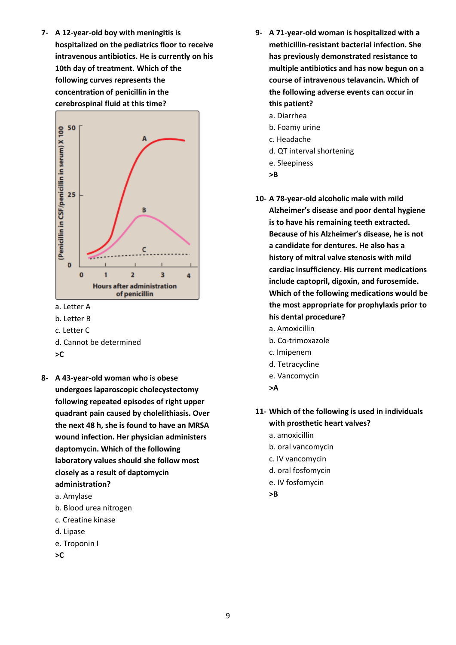**7- A 12-year-old boy with meningitis is hospitalized on the pediatrics floor to receive intravenous antibiotics. He is currently on his 10th day of treatment. Which of the following curves represents the concentration of penicillin in the cerebrospinal fluid at this time?**



a. Letter A

- b. Letter B
- c. Letter C
- d. Cannot be determined
- **>C**
- **8- A 43-year-old woman who is obese undergoes laparoscopic cholecystectomy following repeated episodes of right upper quadrant pain caused by cholelithiasis. Over the next 48 h, she is found to have an MRSA wound infection. Her physician administers daptomycin. Which of the following laboratory values should she follow most closely as a result of daptomycin administration?**
	- a. Amylase
	- b. Blood urea nitrogen
	- c. Creatine kinase
	- d. Lipase
	- e. Troponin I
	- **>C**
- **9- A 71-year-old woman is hospitalized with a methicillin-resistant bacterial infection. She has previously demonstrated resistance to multiple antibiotics and has now begun on a course of intravenous telavancin. Which of the following adverse events can occur in this patient?**
	- a. Diarrhea
	- b. Foamy urine
	- c. Headache
	- d. QT interval shortening
	- e. Sleepiness
	- **>B**
- **10- A 78-year-old alcoholic male with mild Alzheimer's disease and poor dental hygiene is to have his remaining teeth extracted. Because of his Alzheimer's disease, he is not a candidate for dentures. He also has a history of mitral valve stenosis with mild cardiac insufficiency. His current medications include captopril, digoxin, and furosemide. Which of the following medications would be the most appropriate for prophylaxis prior to his dental procedure?**
	- a. Amoxicillin
	- b. Co-trimoxazole
	- c. Imipenem
	- d. Tetracycline
	- e. Vancomycin
	- **>A**
- **11- Which of the following is used in individuals with prosthetic heart valves?**
	- a. amoxicillin
	- b. oral vancomycin
	- c. IV vancomycin
	- d. oral fosfomycin
	- e. IV fosfomycin
	- **>B**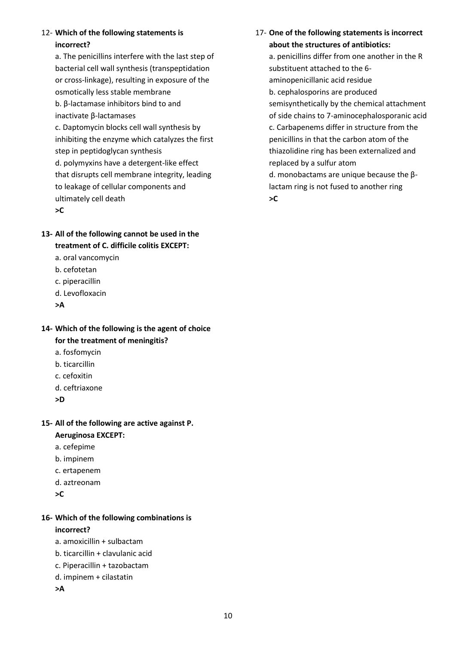### 12- **Which of the following statements is incorrect?**

a. The penicillins interfere with the last step of bacterial cell wall synthesis (transpeptidation or cross-linkage), resulting in exposure of the osmotically less stable membrane b. β-lactamase inhibitors bind to and inactivate β-lactamases c. Daptomycin blocks cell wall synthesis by inhibiting the enzyme which catalyzes the first step in peptidoglycan synthesis d. polymyxins have a detergent-like effect that disrupts cell membrane integrity, leading to leakage of cellular components and ultimately cell death **>C**

- **13- All of the following cannot be used in the treatment of C. difficile colitis EXCEPT:**
	- a. oral vancomycin
	- b. cefotetan
	- c. piperacillin
	- d. Levofloxacin
	- **>A**
- **14- Which of the following is the agent of choice for the treatment of meningitis?**
	- a. fosfomycin
	- b. ticarcillin
	- c. cefoxitin
	- d. ceftriaxone
	- **>D**

### **15- All of the following are active against P. Aeruginosa EXCEPT:**

- a. cefepime
- b. impinem
- c. ertapenem
- d. aztreonam
- **>C**

### **16- Which of the following combinations is incorrect?**

- a. amoxicillin + sulbactam
- b. ticarcillin + clavulanic acid
- c. Piperacillin + tazobactam
- d. impinem + cilastatin
- **>A**

17- **One of the following statements is incorrect about the structures of antibiotics:**

a. penicillins differ from one another in the R substituent attached to the 6 aminopenicillanic acid residue b. cephalosporins are produced semisynthetically by the chemical attachment of side chains to 7-aminocephalosporanic acid c. Carbapenems differ in structure from the penicillins in that the carbon atom of the thiazolidine ring has been externalized and replaced by a sulfur atom d. monobactams are unique because the βlactam ring is not fused to another ring **>C**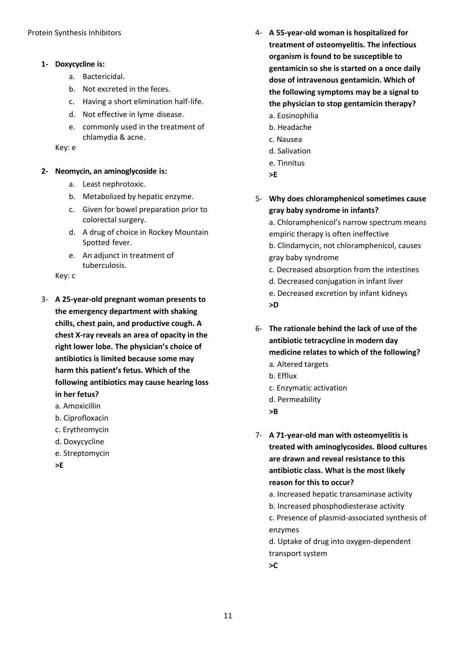- **1- Doxycycline is:**
	- a. Bactericidal.
	- b. Not excreted in the feces.
	- c. Having a short elimination half-life.
	- d. Not effective in lyme disease.
	- e. commonly used in the treatment of chlamydia & acne.

Key: e

- **2- Neomycin, an aminoglycoside is:**
	- a. Least nephrotoxic.
	- b. Metabolized by hepatic enzyme.
	- c. Given for bowel preparation prior to colorectal surgery.
	- d. A drug of choice in Rockey Mountain Spotted fever.
	- e. An adjunct in treatment of tuberculosis.

Key: c

- 3- **A 25-year-old pregnant woman presents to the emergency department with shaking chills, chest pain, and productive cough. A chest X-ray reveals an area of opacity in the right lower lobe. The physician's choice of antibiotics is limited because some may harm this patient's fetus. Which of the following antibiotics may cause hearing loss in her fetus?**
	- a. Amoxicillin
	- b. Ciprofloxacin
	- c. Erythromycin
	- d. Doxycycline
	- e. Streptomycin

**>E**

- 4- **A 55-year-old woman is hospitalized for treatment of osteomyelitis. The infectious organism is found to be susceptible to gentamicin so she is started on a once daily dose of intravenous gentamicin. Which of the following symptoms may be a signal to the physician to stop gentamicin therapy?**
	- a. Eosinophilia b. Headache
	- c. Nausea
	- d. Salivation
	- e. Tinnitus
	- **>E**
- 5- **Why does chloramphenicol sometimes cause gray baby syndrome in infants?**

a. Chloramphenicol's narrow spectrum means empiric therapy is often ineffective

b. Clindamycin, not chloramphenicol, causes gray baby syndrome

- c. Decreased absorption from the intestines
- d. Decreased conjugation in infant liver
- e. Decreased excretion by infant kidneys **>D**
- 6- **The rationale behind the lack of use of the antibiotic tetracycline in modern day medicine relates to which of the following?**
	- a. Altered targets
	- b. Efflux
	- c. Enzymatic activation
	- d. Permeability
	- **>B**

7- **A 71-year-old man with osteomyelitis is treated with aminoglycosides. Blood cultures are drawn and reveal resistance to this antibiotic class. What is the most likely reason for this to occur?**

- a. Increased hepatic transaminase activity
- b. Increased phosphodiesterase activity

c. Presence of plasmid-associated synthesis of enzymes

d. Uptake of drug into oxygen-dependent transport system

**>C**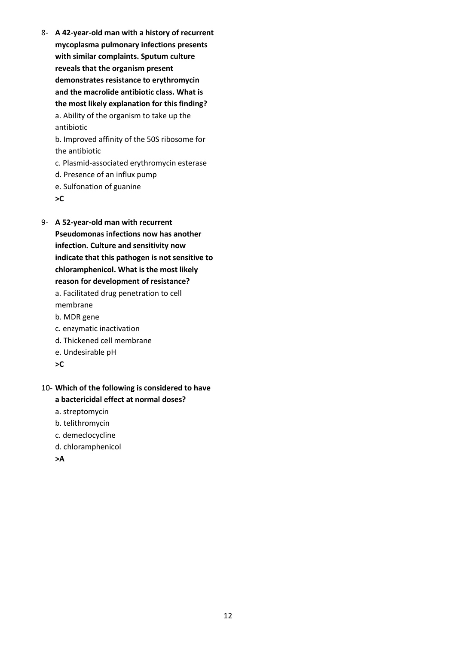8- **A 42-year-old man with a history of recurrent mycoplasma pulmonary infections presents with similar complaints. Sputum culture reveals that the organism present demonstrates resistance to erythromycin and the macrolide antibiotic class. What is the most likely explanation for this finding?** a. Ability of the organism to take up the antibiotic b. Improved affinity of the 50S ribosome for the antibiotic

c. Plasmid-associated erythromycin esterase

- d. Presence of an influx pump
- e. Sulfonation of guanine
- **>C**
- 9- **A 52-year-old man with recurrent Pseudomonas infections now has another infection. Culture and sensitivity now indicate that this pathogen is not sensitive to chloramphenicol. What is the most likely reason for development of resistance?** a. Facilitated drug penetration to cell membrane b. MDR gene
	- c. enzymatic inactivation
	- d. Thickened cell membrane
	- e. Undesirable pH
	- **>C**
- 10- **Which of the following is considered to have a bactericidal effect at normal doses?**
	- a. streptomycin
	- b. telithromycin
	- c. demeclocycline
	- d. chloramphenicol
	- **>A**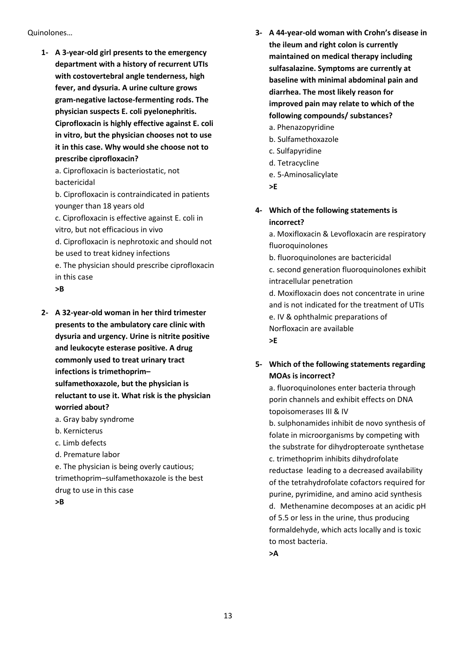Quinolones…

**1- A 3-year-old girl presents to the emergency department with a history of recurrent UTIs with costovertebral angle tenderness, high fever, and dysuria. A urine culture grows gram-negative lactose-fermenting rods. The physician suspects E. coli pyelonephritis. Ciprofloxacin is highly effective against E. coli in vitro, but the physician chooses not to use it in this case. Why would she choose not to prescribe ciprofloxacin?**

a. Ciprofloxacin is bacteriostatic, not bactericidal

b. Ciprofloxacin is contraindicated in patients younger than 18 years old

c. Ciprofloxacin is effective against E. coli in vitro, but not efficacious in vivo

d. Ciprofloxacin is nephrotoxic and should not be used to treat kidney infections

e. The physician should prescribe ciprofloxacin in this case

### **>B**

- **2- A 32-year-old woman in her third trimester presents to the ambulatory care clinic with dysuria and urgency. Urine is nitrite positive and leukocyte esterase positive. A drug commonly used to treat urinary tract infections is trimethoprim– sulfamethoxazole, but the physician is reluctant to use it. What risk is the physician worried about?** 
	- a. Gray baby syndrome
	- b. Kernicterus
	- c. Limb defects
	- d. Premature labor
	- e. The physician is being overly cautious; trimethoprim–sulfamethoxazole is the best drug to use in this case

**>B**

- **3- A 44-year-old woman with Crohn's disease in the ileum and right colon is currently maintained on medical therapy including sulfasalazine. Symptoms are currently at baseline with minimal abdominal pain and diarrhea. The most likely reason for improved pain may relate to which of the following compounds/ substances?**
	- a. Phenazopyridine
	- b. Sulfamethoxazole
	- c. Sulfapyridine
	- d. Tetracycline
	- e. 5-Aminosalicylate
	- **>E**
- **4- Which of the following statements is incorrect?**

a. Moxifloxacin & Levofloxacin are respiratory fluoroquinolones b. fluoroquinolones are bactericidal c. second generation fluoroquinolones exhibit intracellular penetration d. Moxifloxacin does not concentrate in urine and is not indicated for the treatment of UTIs e. IV & ophthalmic preparations of Norfloxacin are available **>E**

**5- Which of the following statements regarding MOAs is incorrect?**

a. fluoroquinolones enter bacteria through porin channels and exhibit effects on DNA topoisomerases III & IV

b. sulphonamides inhibit de novo synthesis of folate in microorganisms by competing with the substrate for dihydropteroate synthetase c. trimethoprim inhibits dihydrofolate reductase leading to a decreased availability of the tetrahydrofolate cofactors required for purine, pyrimidine, and amino acid synthesis d. Methenamine decomposes at an acidic pH of 5.5 or less in the urine, thus producing formaldehyde, which acts locally and is toxic to most bacteria.

**>A**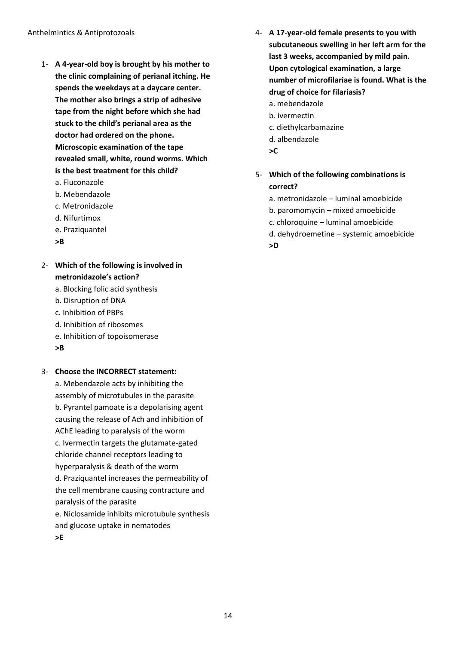- 1- **A 4-year-old boy is brought by his mother to the clinic complaining of perianal itching. He spends the weekdays at a daycare center. The mother also brings a strip of adhesive tape from the night before which she had stuck to the child's perianal area as the doctor had ordered on the phone. Microscopic examination of the tape revealed small, white, round worms. Which is the best treatment for this child?**
	- a. Fluconazole
	- b. Mebendazole
	- c. Metronidazole
	- d. Nifurtimox
	- e. Praziquantel
	- **>B**
- 2- **Which of the following is involved in metronidazole's action?**
	- a. Blocking folic acid synthesis
	- b. Disruption of DNA
	- c. Inhibition of PBPs
	- d. Inhibition of ribosomes
	- e. Inhibition of topoisomerase
	- **>B**

#### 3- **Choose the INCORRECT statement:**

a. Mebendazole acts by inhibiting the assembly of microtubules in the parasite b. Pyrantel pamoate is a depolarising agent causing the release of Ach and inhibition of AChE leading to paralysis of the worm c. Ivermectin targets the glutamate-gated chloride channel receptors leading to hyperparalysis & death of the worm d. Praziquantel increases the permeability of the cell membrane causing contracture and paralysis of the parasite e. Niclosamide inhibits microtubule synthesis

and glucose uptake in nematodes

**>E**

- 4- **A 17-year-old female presents to you with subcutaneous swelling in her left arm for the last 3 weeks, accompanied by mild pain. Upon cytological examination, a large number of microfilariae is found. What is the drug of choice for filariasis?** a. mebendazole b. ivermectin
	- c. diethylcarbamazine
	- d. albendazole
	- **>C**
- 5- **Which of the following combinations is correct?**
	- a. metronidazole luminal amoebicide
	- b. paromomycin mixed amoebicide
	- c. chloroquine luminal amoebicide
	- d. dehydroemetine systemic amoebicide **>D**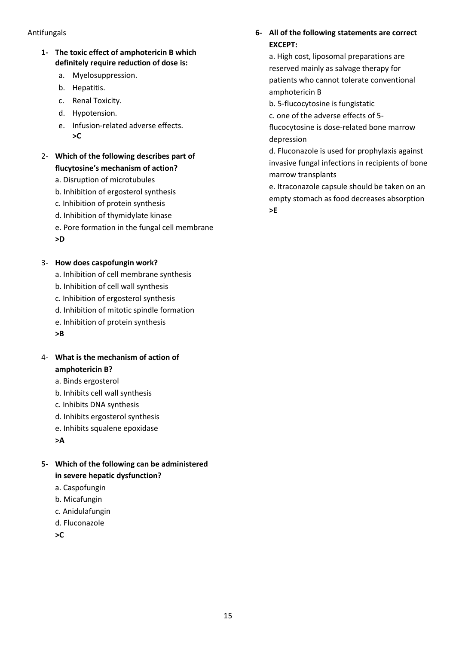#### Antifungals

- **1- The toxic effect of amphotericin B which definitely require reduction of dose is:**
	- a. Myelosuppression.
	- b. Hepatitis.
	- c. Renal Toxicity.
	- d. Hypotension.
	- e. Infusion-related adverse effects. **>C**
- 2- **Which of the following describes part of flucytosine's mechanism of action?**
	- a. Disruption of microtubules
	- b. Inhibition of ergosterol synthesis
	- c. Inhibition of protein synthesis
	- d. Inhibition of thymidylate kinase
	- e. Pore formation in the fungal cell membrane **>D**

#### 3- **How does caspofungin work?**

- a. Inhibition of cell membrane synthesis
- b. Inhibition of cell wall synthesis
- c. Inhibition of ergosterol synthesis
- d. Inhibition of mitotic spindle formation
- e. Inhibition of protein synthesis
- **>B**
- 4- **What is the mechanism of action of amphotericin B?**
	- a. Binds ergosterol
	- b. Inhibits cell wall synthesis
	- c. Inhibits DNA synthesis
	- d. Inhibits ergosterol synthesis
	- e. Inhibits squalene epoxidase
	- **>A**
- **5- Which of the following can be administered in severe hepatic dysfunction?**
	- a. Caspofungin
	- b. Micafungin
	- c. Anidulafungin
	- d. Fluconazole
	- **>C**

### **6- All of the following statements are correct EXCEPT:**

a. High cost, liposomal preparations are reserved mainly as salvage therapy for patients who cannot tolerate conventional amphotericin B

- b. 5-flucocytosine is fungistatic
- c. one of the adverse effects of 5-

flucocytosine is dose-related bone marrow depression

d. Fluconazole is used for prophylaxis against invasive fungal infections in recipients of bone marrow transplants

e. Itraconazole capsule should be taken on an empty stomach as food decreases absorption **>E**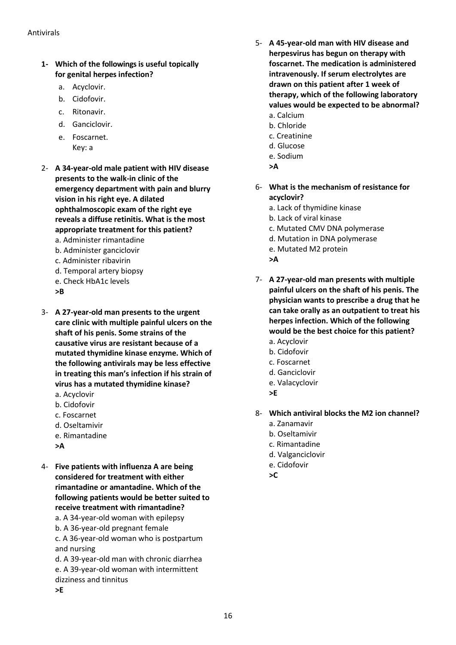- **1- Which of the followings is useful topically for genital herpes infection?**
	- a. Acyclovir.
	- b. Cidofovir.
	- c. Ritonavir.
	- d. Ganciclovir.
	- e. Foscarnet. Key: a
- 2- **A 34-year-old male patient with HIV disease presents to the walk-in clinic of the emergency department with pain and blurry vision in his right eye. A dilated ophthalmoscopic exam of the right eye reveals a diffuse retinitis. What is the most appropriate treatment for this patient?** a. Administer rimantadine
	- b. Administer ganciclovir
	- c. Administer ribavirin
	- d. Temporal artery biopsy
	- e. Check HbA1c levels
	- **>B**
- 3- **A 27-year-old man presents to the urgent care clinic with multiple painful ulcers on the shaft of his penis. Some strains of the causative virus are resistant because of a mutated thymidine kinase enzyme. Which of the following antivirals may be less effective in treating this man's infection if his strain of virus has a mutated thymidine kinase?** 
	- a. Acyclovir
	- b. Cidofovir
	- c. Foscarnet
	- d. Oseltamivir
	- e. Rimantadine
	- **>A**
- 4- **Five patients with influenza A are being considered for treatment with either rimantadine or amantadine. Which of the following patients would be better suited to receive treatment with rimantadine?** a. A 34-year-old woman with epilepsy
	- b. A 36-year-old pregnant female
	- c. A 36-year-old woman who is postpartum and nursing
	- d. A 39-year-old man with chronic diarrhea e. A 39-year-old woman with intermittent dizziness and tinnitus **>E**
- 5- **A 45-year-old man with HIV disease and herpesvirus has begun on therapy with foscarnet. The medication is administered intravenously. If serum electrolytes are drawn on this patient after 1 week of therapy, which of the following laboratory values would be expected to be abnormal?** a. Calcium
	- b. Chloride
	- c. Creatinine
	- d. Glucose
	- e. Sodium
	- **>A**
- 6- **What is the mechanism of resistance for acyclovir?**
	- a. Lack of thymidine kinase
	- b. Lack of viral kinase
	- c. Mutated CMV DNA polymerase
	- d. Mutation in DNA polymerase
	- e. Mutated M2 protein
	- **>A**
- 7- **A 27-year-old man presents with multiple painful ulcers on the shaft of his penis. The physician wants to prescribe a drug that he can take orally as an outpatient to treat his herpes infection. Which of the following would be the best choice for this patient?**
	- a. Acyclovir
	- b. Cidofovir
	- c. Foscarnet
	- d. Ganciclovir
	- e. Valacyclovir
	- **>E**
- 8- **Which antiviral blocks the M2 ion channel?**
	- a. Zanamavir
	- b. Oseltamivir
	- c. Rimantadine
	- d. Valganciclovir
	- e. Cidofovir
	- **>C**